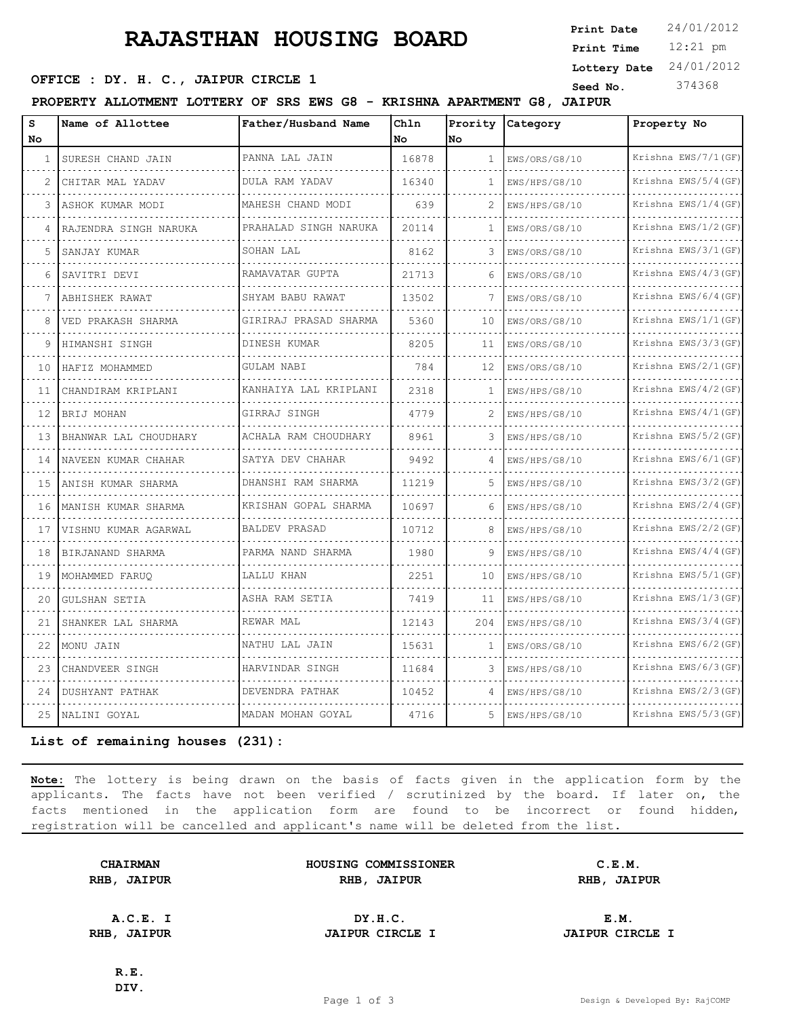# **RAJASTHAN HOUSING BOARD**

12:21 pm **Print Time Print Date**  $24/01/2012$ **Lottery Date** 24/01/2012

### **OFFICE : DY. H. C., JAIPUR CIRCLE 1** Seed No. 374368

**PROPERTY ALLOTMENT LOTTERY OF SRS EWS G8 - KRISHNA APARTMENT G8, JAIPUR**

| s<br>No        | Name of Allottee                | Father/Husband Name   | Chln<br>No. | Prority<br>No | <b>Category</b> | Property No          |
|----------------|---------------------------------|-----------------------|-------------|---------------|-----------------|----------------------|
| 1              | SURESH CHAND JAIN               | PANNA LAL JAIN        | 16878       | $\mathbf{1}$  | EWS/ORS/G8/10   | Krishna EWS/7/1 (GF) |
|                |                                 | DULA RAM YADAV        |             |               |                 | Krishna EWS/5/4 (GF) |
| $\mathfrak{D}$ | CHITAR MAL YADAV                |                       | 16340       | 1             | EWS/HPS/G8/10   |                      |
|                | ASHOK KUMAR MODI                | MAHESH CHAND MODI     | 639         | 2             | EWS/HPS/G8/10   | Krishna EWS/1/4(GF)  |
|                | RAJENDRA SINGH NARUKA           | PRAHALAD SINGH NARUKA | 20114       | $\mathbf{1}$  | EWS/ORS/G8/10   | Krishna EWS/1/2(GF)  |
| 5              | SANJAY KUMAR                    | SOHAN LAL             | 8162        | 3             | EWS/ORS/G8/10   | Krishna EWS/3/1(GF)  |
| 6              | SAVITRI DEVI                    | RAMAVATAR GUPTA       | 21713       | 6             | EWS/ORS/G8/10   | Krishna EWS/4/3 (GF) |
|                | ABHISHEK RAWAT                  | SHYAM BABU RAWAT      | 13502       | 7             | EWS/ORS/G8/10   | Krishna EWS/6/4(GF)  |
| 8              | VED PRAKASH SHARMA              | GIRIRAJ PRASAD SHARMA | 5360        | 10            | EWS/ORS/G8/10   | Krishna EWS/1/1(GF)  |
| 9              | HIMANSHI SINGH                  | DINESH KUMAR          | 8205        | 11            | EWS/ORS/G8/10   | Krishna EWS/3/3(GF)  |
| 10             | HAFIZ MOHAMMED                  | <b>GULAM NABI</b>     | 784         | 12            | EWS/ORS/G8/10   | Krishna EWS/2/1 (GF) |
| 11             | CHANDIRAM KRIPLANI              | KANHAIYA LAL KRIPLANI | 2318        | 1             | EWS/HPS/G8/10   | Krishna EWS/4/2 (GF) |
| 12             | BRIJ MOHAN                      | GIRRAJ SINGH          | 4779        | 2             | EWS/HPS/G8/10   | Krishna EWS/4/1 (GF) |
| 13             | BHANWAR LAL CHOUDHARY           | ACHALA RAM CHOUDHARY  | 8961        | 3             | EWS/HPS/G8/10   | Krishna EWS/5/2 (GF) |
| 14             | NAVEEN KUMAR CHAHAR<br><u>.</u> | SATYA DEV CHAHAR      | 9492        | 4             | EWS/HPS/G8/10   | Krishna EWS/6/1 (GF) |
| 15             | ANISH KUMAR SHARMA              | DHANSHI RAM SHARMA    | 11219       | 5             | EWS/HPS/G8/10   | Krishna EWS/3/2 (GF) |
| 16             | MANISH KUMAR SHARMA             | KRISHAN GOPAL SHARMA  | 10697       | 6             | EWS/HPS/G8/10   | Krishna EWS/2/4(GF)  |
| 17             | VISHNU KUMAR AGARWAL            | BALDEV PRASAD         | 10712       | 8             | EWS/HPS/G8/10   | Krishna EWS/2/2 (GF) |
| 18             | BIRJANAND SHARMA                | PARMA NAND SHARMA     | 1980        | 9             | EWS/HPS/G8/10   | Krishna EWS/4/4(GF)  |
| 19             | MOHAMMED FARUQ                  | LALLU KHAN            | 2251        | 10            | EWS/HPS/G8/10   | Krishna EWS/5/1(GF)  |
| 20             | <b>GULSHAN SETIA</b>            | ASHA RAM SETIA        | 7419        | 11            | EWS/HPS/G8/10   | Krishna EWS/1/3(GF)  |
| 21             | SHANKER LAL SHARMA              | REWAR MAL             | 12143       | 204           | EWS/HPS/G8/10   | Krishna EWS/3/4(GF)  |
| 22             | MONU JAIN                       | NATHU LAL JAIN        | 15631       | -1            | EWS/ORS/G8/10   | Krishna EWS/6/2(GF)  |
| 23             | CHANDVEER SINGH                 | HARVINDAR SINGH       | 11684       | 3             | EWS/HPS/G8/10   | Krishna EWS/6/3(GF)  |
| 24             | DUSHYANT PATHAK                 | DEVENDRA PATHAK       | 10452       | 4             | EWS/HPS/G8/10   | Krishna EWS/2/3(GF)  |
| 25             | NALINI GOYAL                    | MADAN MOHAN GOYAL     | 4716        | 5.            | EWS/HPS/G8/10   | Krishna EWS/5/3(GF)  |

**List of remaining houses (231):** 

**Note:** The lottery is being drawn on the basis of facts given in the application form by the applicants. The facts have not been verified / scrutinized by the board. If later on, the facts mentioned in the application form are found to be incorrect or found hidden, registration will be cancelled and applicant's name will be deleted from the list.

| <b>CHAIRMAN</b> | HOUSING COMMISSIONER   | C.E.M.                 |  |  |
|-----------------|------------------------|------------------------|--|--|
| RHB, JAIPUR     | RHB, JAIPUR            | RHB, JAIPUR            |  |  |
| A.C.E. I        | DY.H.C.                | E.M.                   |  |  |
| RHB, JAIPUR     | <b>JAIPUR CIRCLE I</b> | <b>JAIPUR CIRCLE I</b> |  |  |

**R.E. DIV.**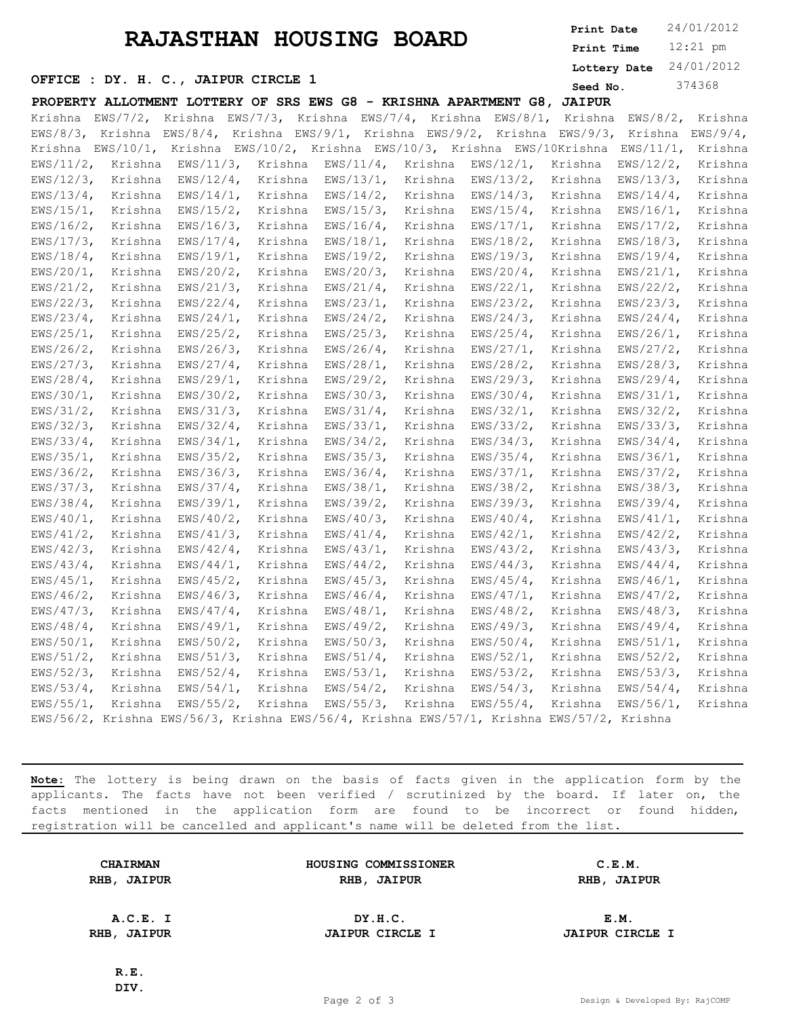## **RAJASTHAN HOUSING BOARD**

12:21 pm **Print Time Print Date**  $24/01/2012$ **Lottery Date** 24/01/2012

#### **SEED OFFICE : DY. H. C., JAIPUR CIRCLE 1** Seed No. 374368

**PROPERTY ALLOTMENT LOTTERY OF SRS EWS G8 - KRISHNA APARTMENT G8, JAIPUR** Krishna EWS/7/2, Krishna EWS/7/3, Krishna EWS/7/4, Krishn

|                      |         |                           |         |         |                      |                                                                                           |         | <u>Krishna EWS/7/2, Krishna EWS/7/3, Krishna EWS/7/4, Krishna EWS/8/1, Krishna EWS/8/2, Krishna</u> |         |
|----------------------|---------|---------------------------|---------|---------|----------------------|-------------------------------------------------------------------------------------------|---------|-----------------------------------------------------------------------------------------------------|---------|
|                      |         |                           |         |         |                      |                                                                                           |         | EWS/8/3, Krishna EWS/8/4, Krishna EWS/9/1, Krishna EWS/9/2, Krishna EWS/9/3, Krishna EWS/9/4,       |         |
|                      |         |                           |         |         |                      |                                                                                           |         | Krishna EWS/10/1, Krishna EWS/10/2, Krishna EWS/10/3, Krishna EWS/10Krishna EWS/11/1, Krishna       |         |
|                      |         |                           |         |         |                      | EWS/11/2, Krishna EWS/11/3, Krishna EWS/11/4, Krishna EWS/12/1, Krishna                   |         | $EWS/12/2$ ,                                                                                        | Krishna |
| $EWS/12/3$ ,         |         | Krishna EWS/12/4, Krishna |         |         |                      | EWS/13/1, Krishna EWS/13/2, Krishna                                                       |         | EWS/13/3,                                                                                           | Krishna |
| $EWS/13/4$ ,         | Krishna | $EWS/14/1$ ,              |         | Krishna |                      | EWS/14/2, Krishna EWS/14/3, Krishna                                                       |         | $EWS/14/4$ ,                                                                                        | Krishna |
| $EWS/15/1$ ,         | Krishna | $EWS/15/2$ ,              | Krishna |         | EWS/15/3, Krishna    | EWS/15/4, Krishna                                                                         |         | $EWS/16/1$ ,                                                                                        | Krishna |
| $EWS/16/2$ ,         | Krishna | $EWS/16/3$ ,              | Krishna |         | $EWS/16/4$ , Krishna | EWS/17/1, Krishna                                                                         |         | $EWS/17/2$ ,                                                                                        | Krishna |
| $EWS/17/3$ ,         | Krishna | $EWS/17/4$ ,              | Krishna |         | EWS/18/1, Krishna    | EWS/18/2, Krishna                                                                         |         | $EWS/18/3$ ,                                                                                        | Krishna |
| $EWS/18/4$ ,         | Krishna | $EWS/19/1$ ,              | Krishna |         | EWS/19/2, Krishna    | EWS/19/3, Krishna                                                                         |         | $EWS/19/4$ ,                                                                                        | Krishna |
| $EWS/20/1$ ,         | Krishna | $EWS/20/2$ ,              | Krishna |         | $EWS/20/3$ , Krishna | EWS/20/4, Krishna                                                                         |         | $EWS/21/1$ ,                                                                                        | Krishna |
| $EWS/21/2$ ,         | Krishna | $EWS/21/3$ ,              | Krishna |         | $EWS/21/4$ , Krishna | EWS/22/1, Krishna                                                                         |         | $EWS/22/2$ ,                                                                                        | Krishna |
| $EWS/22/3$ ,         | Krishna | $EWS/22/4$ ,              | Krishna |         | $EWS/23/1$ , Krishna | EWS/23/2, Krishna                                                                         |         | $EWS/23/3$ ,                                                                                        | Krishna |
| $EWS/23/4$ ,         | Krishna | $EWS/24/1$ ,              | Krishna |         | EWS/24/2, Krishna    | EWS/24/3, Krishna                                                                         |         | $EWS/24/4$ ,                                                                                        | Krishna |
| $EWS/25/1$ ,         | Krishna | $EWS/25/2$ ,              | Krishna |         | EWS/25/3, Krishna    | EWS/25/4, Krishna                                                                         |         | $EWS/26/1$ ,                                                                                        | Krishna |
| $EWS/26/2$ ,         | Krishna | $EWS/26/3$ ,              | Krishna |         | EWS/26/4, Krishna    | $EWS/27/1$ , Krishna                                                                      |         | $EWS/27/2$ ,                                                                                        | Krishna |
| $EWS/27/3$ ,         | Krishna | $EWS/27/4$ ,              | Krishna |         | EWS/28/1, Krishna    | EWS/28/2, Krishna                                                                         |         | $EWS/28/3$ ,                                                                                        | Krishna |
| $EWS/28/4$ ,         | Krishna | $EWS/29/1$ ,              | Krishna |         | EWS/29/2, Krishna    | EWS/29/3, Krishna                                                                         |         | $EWS/29/4$ ,                                                                                        | Krishna |
| $EWS/30/1$ ,         | Krishna | $EWS/30/2$ ,              | Krishna |         | EWS/30/3, Krishna    | EWS/30/4, Krishna                                                                         |         | $EWS/31/1$ ,                                                                                        | Krishna |
| $EWS/31/2$ ,         | Krishna | $EWS/31/3$ ,              | Krishna |         | $EWS/31/4$ , Krishna | $EWS/32/1$ , Krishna                                                                      |         | $EWS/32/2$ ,                                                                                        | Krishna |
| $EWS/32/3$ ,         | Krishna | $EWS/32/4$ ,              | Krishna |         | $EWS/33/1$ , Krishna | EWS/33/2, Krishna                                                                         |         | $EWS/33/3$ ,                                                                                        | Krishna |
| $EWS/33/4$ ,         | Krishna | $EWS/34/1$ ,              | Krishna |         |                      | EWS/34/2, Krishna EWS/34/3, Krishna                                                       |         | $EWS/34/4$ ,                                                                                        | Krishna |
| $EWS/35/1$ ,         | Krishna | $EWS/35/2$ ,              | Krishna |         | EWS/35/3, Krishna    | EWS/35/4, Krishna                                                                         |         | $EWS/36/1$ ,                                                                                        | Krishna |
| $EWS/36/2$ ,         | Krishna | $EWS/36/3$ ,              | Krishna |         | EWS/36/4, Krishna    | EWS/37/1, Krishna                                                                         |         | $EWS/37/2$ ,                                                                                        | Krishna |
| $EWS/37/3$ ,         | Krishna | $EWS/37/4$ ,              | Krishna |         | EWS/38/1, Krishna    | EWS/38/2, Krishna                                                                         |         | $EWS/38/3$ ,                                                                                        | Krishna |
| $EWS/38/4$ ,         | Krishna | $EWS/39/1$ ,              | Krishna |         | EWS/39/2, Krishna    | EWS/39/3, Krishna                                                                         |         | $EWS/39/4$ ,                                                                                        | Krishna |
| $EWS/40/1$ ,         | Krishna | $EWS/40/2$ ,              | Krishna |         | EWS/40/3, Krishna    | EWS/40/4, Krishna                                                                         |         | $EWS/41/1$ ,                                                                                        | Krishna |
| $EWS/41/2$ ,         | Krishna | $EWS/41/3$ ,              | Krishna |         | $EWS/41/4$ , Krishna | EWS/42/1, Krishna                                                                         |         | $EWS/42/2$ ,                                                                                        | Krishna |
| $EWS/42/3$ ,         | Krishna | $EWS/42/4$ ,              | Krishna |         | $EWS/43/1$ , Krishna | EWS/43/2, Krishna                                                                         |         | $EWS/43/3$ ,                                                                                        | Krishna |
| $EWS/43/4$ ,         | Krishna | $EWS/44/1$ ,              | Krishna |         | $EWS/44/2$ , Krishna | $EWS/44/3$ ,                                                                              | Krishna | $EWS/44/4$ ,                                                                                        | Krishna |
| $EWS/45/1$ ,         | Krishna | $EWS/45/2$ ,              | Krishna |         | EWS/45/3, Krishna    | EWS/45/4, Krishna                                                                         |         | $EWS/46/1$ ,                                                                                        | Krishna |
| $EWS/46/2$ ,         | Krishna | $EWS/46/3$ ,              | Krishna |         | $EWS/46/4$ , Krishna | EWS/47/1, Krishna                                                                         |         | $EWS/47/2$ ,                                                                                        | Krishna |
| $EWS/47/3$ ,         | Krishna | $EWS/47/4$ ,              | Krishna |         | EWS/48/1, Krishna    | EWS/48/2, Krishna                                                                         |         | $EWS/48/3$ ,                                                                                        | Krishna |
| $EWS/48/4$ ,         | Krishna | $EWS/49/1$ ,              | Krishna |         | EWS/49/2, Krishna    | EWS/49/3, Krishna                                                                         |         | $EWS/49/4$ ,                                                                                        | Krishna |
| $EWS/50/1$ ,         | Krishna | $EWS/50/2$ ,              | Krishna |         | EWS/50/3, Krishna    | EWS/50/4, Krishna                                                                         |         | $EWS/51/1$ ,                                                                                        | Krishna |
| $EWS/51/2$ ,         | Krishna | $EWS/51/3$ ,              | Krishna |         | $EWS/51/4$ , Krishna | EWS/52/1, Krishna                                                                         |         | $EWS/52/2$ ,                                                                                        | Krishna |
| $EWS/52/3$ ,         | Krishna | $EWS/52/4$ ,              | Krishna |         |                      | EWS/53/1, Krishna EWS/53/2, Krishna                                                       |         | $EWS/53/3$ ,                                                                                        | Krishna |
| EWS/53/4, Krishna    |         | $EWS/54/1$ ,              | Krishna |         |                      | EWS/54/2, Krishna EWS/54/3, Krishna                                                       |         | $EWS/54/4$ ,                                                                                        | Krishna |
| $EWS/55/1$ , Krishna |         | $EWS/55/2$ ,              | Krishna |         |                      | EWS/55/3, Krishna EWS/55/4, Krishna                                                       |         | $EWS/56/1$ ,                                                                                        | Krishna |
|                      |         |                           |         |         |                      | EWS/56/2, Krishna EWS/56/3, Krishna EWS/56/4, Krishna EWS/57/1, Krishna EWS/57/2, Krishna |         |                                                                                                     |         |

**Note:** The lottery is being drawn on the basis of facts given in the application form by the applicants. The facts have not been verified / scrutinized by the board. If later on, the facts mentioned in the application form are found to be incorrect or found hidden, registration will be cancelled and applicant's name will be deleted from the list.

| <b>CHAIRMAN</b><br>RHB, JAIPUR | HOUSING COMMISSIONER<br>RHB, JAIPUR | C.E.M.<br>RHB, JAIPUR  |  |
|--------------------------------|-------------------------------------|------------------------|--|
|                                |                                     |                        |  |
| A.C.E. I                       | DY.H.C.                             | E.M.                   |  |
| RHB, JAIPUR                    | <b>JAIPUR CIRCLE I</b>              | <b>JAIPUR CIRCLE I</b> |  |
|                                |                                     |                        |  |
| R.E.                           |                                     |                        |  |

**DIV.**

Page 2 of 3 Design & Developed By: RajCOMP